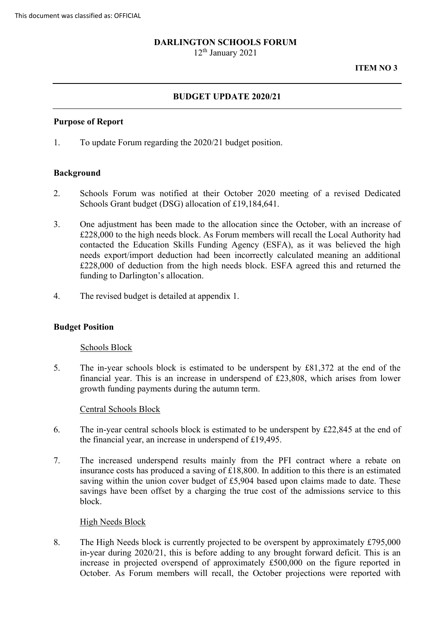### **DARLINGTON SCHOOLS FORUM**

12th January 2021

#### **ITEM NO 3**

## **BUDGET UPDATE 2020/21**

#### **Purpose of Report**

1. To update Forum regarding the 2020/21 budget position.

### **Background**

- 2. Schools Forum was notified at their October 2020 meeting of a revised Dedicated Schools Grant budget (DSG) allocation of £19,184,641.
- contacted the Education Skills Funding Agency (ESFA), as it was believed the high £228,000 of deduction from the high needs block. ESFA agreed this and returned the 3. One adjustment has been made to the allocation since the October, with an increase of £228,000 to the high needs block. As Forum members will recall the Local Authority had needs export/import deduction had been incorrectly calculated meaning an additional funding to Darlington's allocation.
- 4. The revised budget is detailed at appendix 1.

### **Budget Position**

#### Schools Block

5. The in-year schools block is estimated to be underspent by £81,372 at the end of the financial year. This is an increase in underspend of £23,808, which arises from lower growth funding payments during the autumn term.

### Central Schools Block

- 6. The in-year central schools block is estimated to be underspent by  $\text{\pounds}22,845$  at the end of the financial year, an increase in underspend of £19,495.
- 7. The increased underspend results mainly from the PFI contract where a rebate on insurance costs has produced a saving of £18,800. In addition to this there is an estimated saving within the union cover budget of £5,904 based upon claims made to date. These savings have been offset by a charging the true cost of the admissions service to this block.

#### High Needs Block

 8. The High Needs block is currently projected to be overspent by approximately £795,000 October. As Forum members will recall, the October projections were reported with in-year during 2020/21, this is before adding to any brought forward deficit. This is an increase in projected overspend of approximately £500,000 on the figure reported in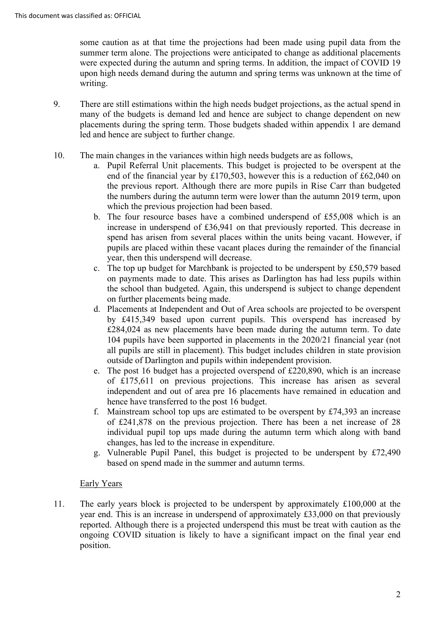summer term alone. The projections were anticipated to change as additional placements some caution as at that time the projections had been made using pupil data from the were expected during the autumn and spring terms. In addition, the impact of COVID 19 upon high needs demand during the autumn and spring terms was unknown at the time of writing.

- 9. There are still estimations within the high needs budget projections, as the actual spend in many of the budgets is demand led and hence are subject to change dependent on new placements during the spring term. Those budgets shaded within appendix 1 are demand led and hence are subject to further change.
- 10. The main changes in the variances within high needs budgets are as follows,
	- the previous report. Although there are more pupils in Rise Carr than budgeted a. Pupil Referral Unit placements. This budget is projected to be overspent at the end of the financial year by £170,503, however this is a reduction of £62,040 on the numbers during the autumn term were lower than the autumn 2019 term, upon which the previous projection had been based.
	- pupils are placed within these vacant places during the remainder of the financial b. The four resource bases have a combined underspend of £55,008 which is an increase in underspend of £36,941 on that previously reported. This decrease in spend has arisen from several places within the units being vacant. However, if year, then this underspend will decrease.
	- on payments made to date. This arises as Darlington has had less pupils within c. The top up budget for Marchbank is projected to be underspent by £50,579 based the school than budgeted. Again, this underspend is subject to change dependent on further placements being made.
	- 104 pupils have been supported in placements in the 2020/21 financial year (not outside of Darlington and pupils within independent provision. d. Placements at Independent and Out of Area schools are projected to be overspent by £415,349 based upon current pupils. This overspend has increased by £284,024 as new placements have been made during the autumn term. To date all pupils are still in placement). This budget includes children in state provision
	- hence have transferred to the post 16 budget. e. The post 16 budget has a projected overspend of £220,890, which is an increase of £175,611 on previous projections. This increase has arisen as several independent and out of area pre 16 placements have remained in education and
	- of £241,878 on the previous projection. There has been a net increase of 28 individual pupil top ups made during the autumn term which along with band changes, has led to the increase in expenditure. f. Mainstream school top ups are estimated to be overspent by  $£74,393$  an increase
	- g. Vulnerable Pupil Panel, this budget is projected to be underspent by  $£72,490$ based on spend made in the summer and autumn terms.

# Early Years

 11. The early years block is projected to be underspent by approximately £100,000 at the year end. This is an increase in underspend of approximately £33,000 on that previously reported. Although there is a projected underspend this must be treat with caution as the ongoing COVID situation is likely to have a significant impact on the final year end position.